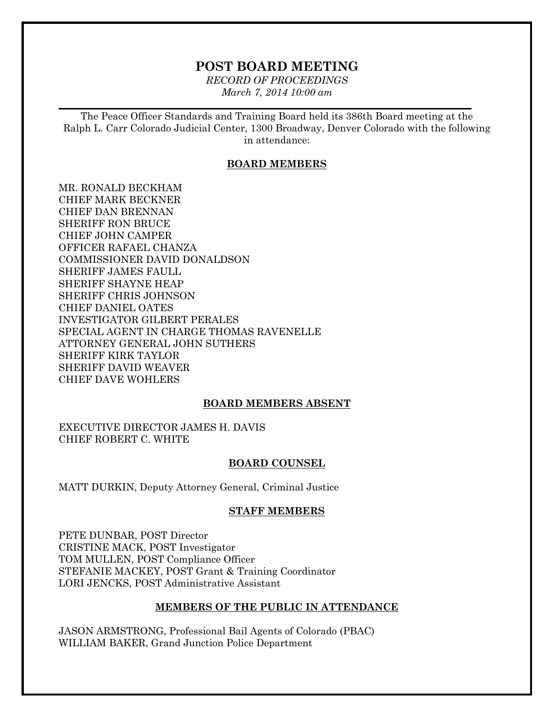# **POST BOARD MEETING**

*RECORD OF PROCEEDINGS March 7, 2014 10:00 am*

 $\mathcal{L}_\mathcal{L} = \mathcal{L}_\mathcal{L} = \mathcal{L}_\mathcal{L} = \mathcal{L}_\mathcal{L} = \mathcal{L}_\mathcal{L} = \mathcal{L}_\mathcal{L} = \mathcal{L}_\mathcal{L} = \mathcal{L}_\mathcal{L} = \mathcal{L}_\mathcal{L} = \mathcal{L}_\mathcal{L} = \mathcal{L}_\mathcal{L} = \mathcal{L}_\mathcal{L} = \mathcal{L}_\mathcal{L} = \mathcal{L}_\mathcal{L} = \mathcal{L}_\mathcal{L} = \mathcal{L}_\mathcal{L} = \mathcal{L}_\mathcal{L}$ 

The Peace Officer Standards and Training Board held its 386th Board meeting at the Ralph L. Carr Colorado Judicial Center, 1300 Broadway, Denver Colorado with the following in attendance:

### **BOARD MEMBERS**

MR. RONALD BECKHAM CHIEF MARK BECKNER CHIEF DAN BRENNAN SHERIFF RON BRUCE CHIEF JOHN CAMPER OFFICER RAFAEL CHANZA COMMISSIONER DAVID DONALDSON SHERIFF JAMES FAULL SHERIFF SHAYNE HEAP SHERIFF CHRIS JOHNSON CHIEF DANIEL OATES INVESTIGATOR GILBERT PERALES SPECIAL AGENT IN CHARGE THOMAS RAVENELLE ATTORNEY GENERAL JOHN SUTHERS SHERIFF KIRK TAYLOR SHERIFF DAVID WEAVER CHIEF DAVE WOHLERS

## **BOARD MEMBERS ABSENT**

EXECUTIVE DIRECTOR JAMES H. DAVIS CHIEF ROBERT C. WHITE

### **BOARD COUNSEL**

MATT DURKIN, Deputy Attorney General, Criminal Justice

### **STAFF MEMBERS**

PETE DUNBAR, POST Director CRISTINE MACK, POST Investigator TOM MULLEN, POST Compliance Officer STEFANIE MACKEY, POST Grant & Training Coordinator LORI JENCKS, POST Administrative Assistant

### **MEMBERS OF THE PUBLIC IN ATTENDANCE**

JASON ARMSTRONG, Professional Bail Agents of Colorado (PBAC) WILLIAM BAKER, Grand Junction Police Department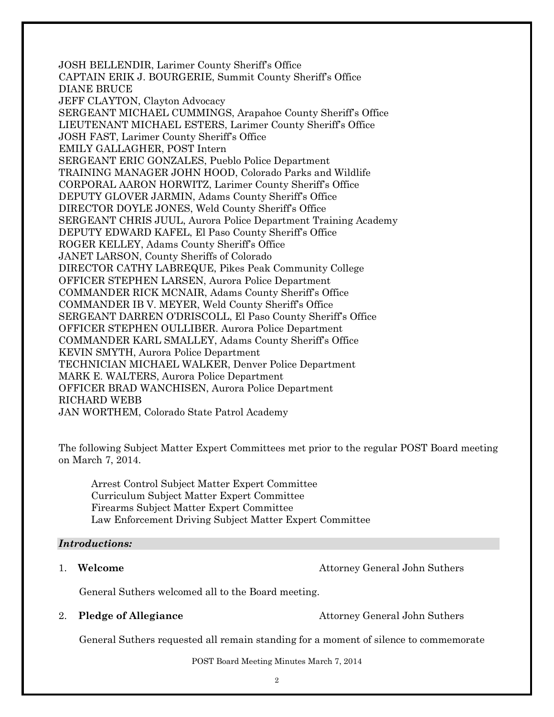JOSH BELLENDIR, Larimer County Sheriff's Office CAPTAIN ERIK J. BOURGERIE, Summit County Sheriff's Office DIANE BRUCE JEFF CLAYTON, Clayton Advocacy SERGEANT MICHAEL CUMMINGS, Arapahoe County Sheriff's Office LIEUTENANT MICHAEL ESTERS, Larimer County Sheriff's Office JOSH FAST, Larimer County Sheriff's Office EMILY GALLAGHER, POST Intern SERGEANT ERIC GONZALES, Pueblo Police Department TRAINING MANAGER JOHN HOOD, Colorado Parks and Wildlife CORPORAL AARON HORWITZ, Larimer County Sheriff's Office DEPUTY GLOVER JARMIN, Adams County Sheriff's Office DIRECTOR DOYLE JONES, Weld County Sheriff's Office SERGEANT CHRIS JUUL, Aurora Police Department Training Academy DEPUTY EDWARD KAFEL, El Paso County Sheriff's Office ROGER KELLEY, Adams County Sheriff's Office JANET LARSON, County Sheriffs of Colorado DIRECTOR CATHY LABREQUE, Pikes Peak Community College OFFICER STEPHEN LARSEN, Aurora Police Department COMMANDER RICK MCNAIR, Adams County Sheriff's Office COMMANDER IB V. MEYER, Weld County Sheriff's Office SERGEANT DARREN O'DRISCOLL, El Paso County Sheriff's Office OFFICER STEPHEN OULLIBER. Aurora Police Department COMMANDER KARL SMALLEY, Adams County Sheriff's Office KEVIN SMYTH, Aurora Police Department TECHNICIAN MICHAEL WALKER, Denver Police Department MARK E. WALTERS, Aurora Police Department OFFICER BRAD WANCHISEN, Aurora Police Department RICHARD WEBB JAN WORTHEM, Colorado State Patrol Academy

The following Subject Matter Expert Committees met prior to the regular POST Board meeting on March 7, 2014.

Arrest Control Subject Matter Expert Committee Curriculum Subject Matter Expert Committee Firearms Subject Matter Expert Committee Law Enforcement Driving Subject Matter Expert Committee

### *Introductions:*

1. **Welcome Attorney General John Suthers** 

General Suthers welcomed all to the Board meeting.

2. **Pledge of Allegiance** Attorney General John Suthers

General Suthers requested all remain standing for a moment of silence to commemorate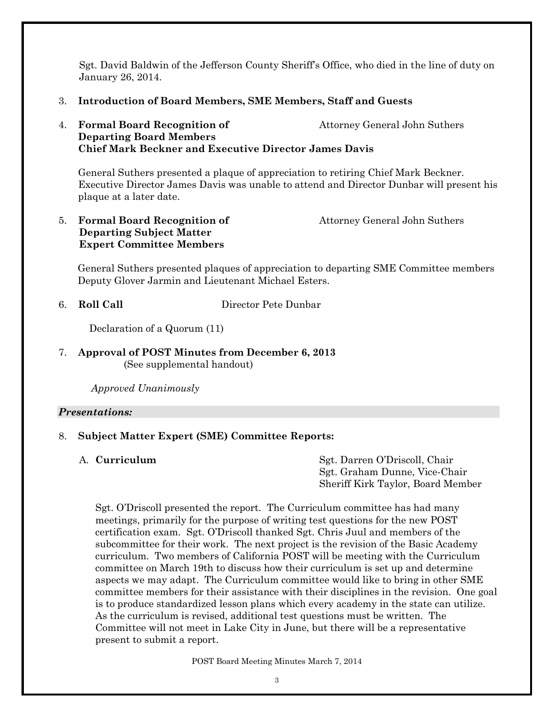Sgt. David Baldwin of the Jefferson County Sheriff's Office, who died in the line of duty on January 26, 2014.

## 3. **Introduction of Board Members, SME Members, Staff and Guests**

## 4. **Formal Board Recognition of The Contract Attorney General John Suthers Departing Board Members Chief Mark Beckner and Executive Director James Davis**

General Suthers presented a plaque of appreciation to retiring Chief Mark Beckner. Executive Director James Davis was unable to attend and Director Dunbar will present his plaque at a later date.

5. **Formal Board Recognition of Attorney General John Suthers Departing Subject Matter Expert Committee Members**

General Suthers presented plaques of appreciation to departing SME Committee members Deputy Glover Jarmin and Lieutenant Michael Esters.

6. **Roll Call** Director Pete Dunbar

Declaration of a Quorum (11)

## 7. **Approval of POST Minutes from December 6, 2013** (See supplemental handout)

*Approved Unanimously*

### *Presentations:*

## 8. **Subject Matter Expert (SME) Committee Reports:**

A. **Curriculum** Sgt. Darren O'Driscoll, Chair Sgt. Graham Dunne, Vice-Chair Sheriff Kirk Taylor, Board Member

Sgt. O'Driscoll presented the report. The Curriculum committee has had many meetings, primarily for the purpose of writing test questions for the new POST certification exam. Sgt. O'Driscoll thanked Sgt. Chris Juul and members of the subcommittee for their work. The next project is the revision of the Basic Academy curriculum. Two members of California POST will be meeting with the Curriculum committee on March 19th to discuss how their curriculum is set up and determine aspects we may adapt. The Curriculum committee would like to bring in other SME committee members for their assistance with their disciplines in the revision. One goal is to produce standardized lesson plans which every academy in the state can utilize. As the curriculum is revised, additional test questions must be written. The Committee will not meet in Lake City in June, but there will be a representative present to submit a report.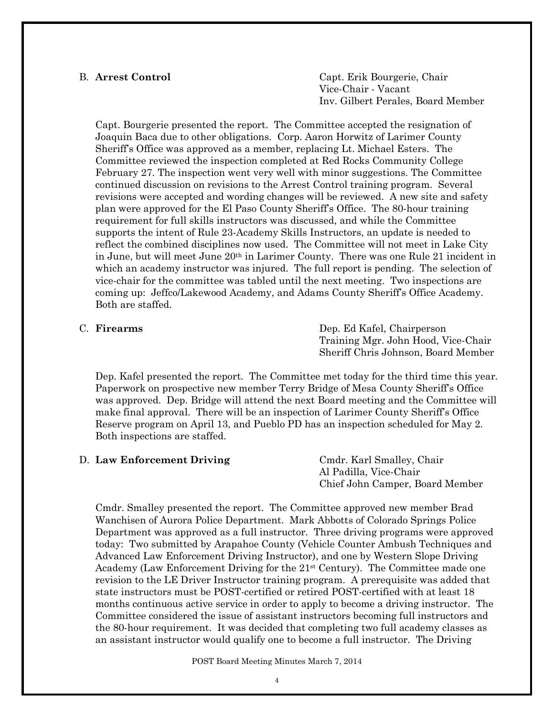B. **Arrest Control** Capt. Erik Bourgerie, Chair Vice-Chair - Vacant Inv. Gilbert Perales, Board Member

Capt. Bourgerie presented the report. The Committee accepted the resignation of Joaquin Baca due to other obligations. Corp. Aaron Horwitz of Larimer County Sheriff's Office was approved as a member, replacing Lt. Michael Esters. The Committee reviewed the inspection completed at Red Rocks Community College February 27. The inspection went very well with minor suggestions. The Committee continued discussion on revisions to the Arrest Control training program. Several revisions were accepted and wording changes will be reviewed. A new site and safety plan were approved for the El Paso County Sheriff's Office. The 80-hour training requirement for full skills instructors was discussed, and while the Committee supports the intent of Rule 23-Academy Skills Instructors, an update is needed to reflect the combined disciplines now used. The Committee will not meet in Lake City in June, but will meet June 20th in Larimer County. There was one Rule 21 incident in which an academy instructor was injured. The full report is pending. The selection of vice-chair for the committee was tabled until the next meeting. Two inspections are coming up: Jeffco/Lakewood Academy, and Adams County Sheriff's Office Academy. Both are staffed.

C. **Firearms** Dep. Ed Kafel, Chairperson Training Mgr. John Hood, Vice-Chair Sheriff Chris Johnson, Board Member

Dep. Kafel presented the report. The Committee met today for the third time this year. Paperwork on prospective new member Terry Bridge of Mesa County Sheriff's Office was approved. Dep. Bridge will attend the next Board meeting and the Committee will make final approval. There will be an inspection of Larimer County Sheriff's Office Reserve program on April 13, and Pueblo PD has an inspection scheduled for May 2. Both inspections are staffed.

| D. Law Enforcement Driving | Cmdr. Karl Smalley, Chair       |
|----------------------------|---------------------------------|
|                            | Al Padilla, Vice-Chair          |
|                            | Chief John Camper, Board Member |

Cmdr. Smalley presented the report. The Committee approved new member Brad Wanchisen of Aurora Police Department. Mark Abbotts of Colorado Springs Police Department was approved as a full instructor. Three driving programs were approved today: Two submitted by Arapahoe County (Vehicle Counter Ambush Techniques and Advanced Law Enforcement Driving Instructor), and one by Western Slope Driving Academy (Law Enforcement Driving for the 21st Century). The Committee made one revision to the LE Driver Instructor training program. A prerequisite was added that state instructors must be POST-certified or retired POST-certified with at least 18 months continuous active service in order to apply to become a driving instructor. The Committee considered the issue of assistant instructors becoming full instructors and the 80-hour requirement. It was decided that completing two full academy classes as an assistant instructor would qualify one to become a full instructor. The Driving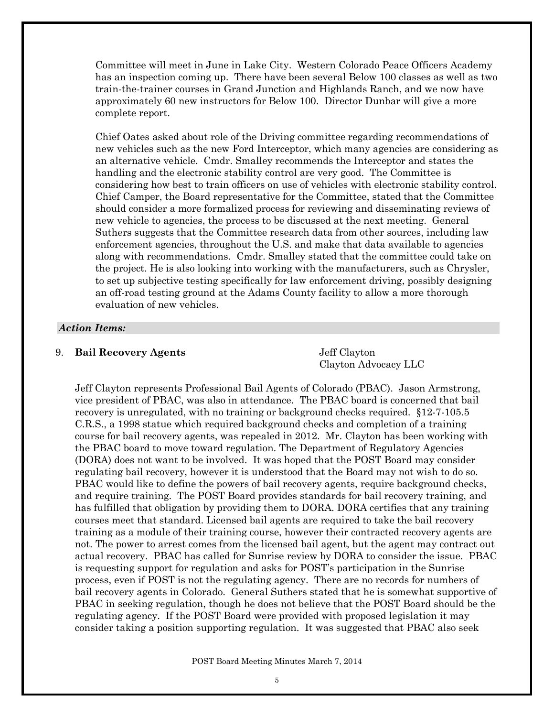Committee will meet in June in Lake City. Western Colorado Peace Officers Academy has an inspection coming up. There have been several Below 100 classes as well as two train-the-trainer courses in Grand Junction and Highlands Ranch, and we now have approximately 60 new instructors for Below 100. Director Dunbar will give a more complete report.

Chief Oates asked about role of the Driving committee regarding recommendations of new vehicles such as the new Ford Interceptor, which many agencies are considering as an alternative vehicle. Cmdr. Smalley recommends the Interceptor and states the handling and the electronic stability control are very good. The Committee is considering how best to train officers on use of vehicles with electronic stability control. Chief Camper, the Board representative for the Committee, stated that the Committee should consider a more formalized process for reviewing and disseminating reviews of new vehicle to agencies, the process to be discussed at the next meeting. General Suthers suggests that the Committee research data from other sources, including law enforcement agencies, throughout the U.S. and make that data available to agencies along with recommendations. Cmdr. Smalley stated that the committee could take on the project. He is also looking into working with the manufacturers, such as Chrysler, to set up subjective testing specifically for law enforcement driving, possibly designing an off-road testing ground at the Adams County facility to allow a more thorough evaluation of new vehicles.

### *Action Items:*

### 9. **Bail Recovery Agents** Jeff Clayton

Clayton Advocacy LLC

Jeff Clayton represents Professional Bail Agents of Colorado (PBAC). Jason Armstrong, vice president of PBAC, was also in attendance. The PBAC board is concerned that bail recovery is unregulated, with no training or background checks required. §12-7-105.5 C.R.S., a 1998 statue which required background checks and completion of a training course for bail recovery agents, was repealed in 2012. Mr. Clayton has been working with the PBAC board to move toward regulation. The Department of Regulatory Agencies (DORA) does not want to be involved. It was hoped that the POST Board may consider regulating bail recovery, however it is understood that the Board may not wish to do so. PBAC would like to define the powers of bail recovery agents, require background checks, and require training. The POST Board provides standards for bail recovery training, and has fulfilled that obligation by providing them to DORA. DORA certifies that any training courses meet that standard. Licensed bail agents are required to take the bail recovery training as a module of their training course, however their contracted recovery agents are not. The power to arrest comes from the licensed bail agent, but the agent may contract out actual recovery. PBAC has called for Sunrise review by DORA to consider the issue. PBAC is requesting support for regulation and asks for POST's participation in the Sunrise process, even if POST is not the regulating agency. There are no records for numbers of bail recovery agents in Colorado. General Suthers stated that he is somewhat supportive of PBAC in seeking regulation, though he does not believe that the POST Board should be the regulating agency. If the POST Board were provided with proposed legislation it may consider taking a position supporting regulation. It was suggested that PBAC also seek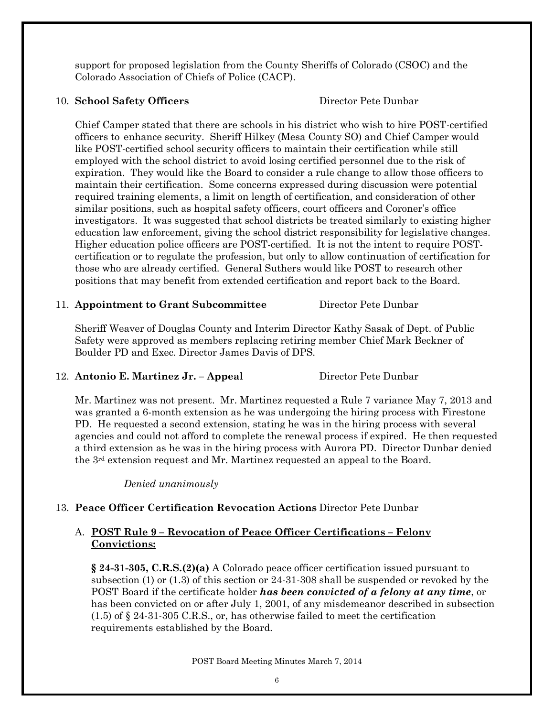support for proposed legislation from the County Sheriffs of Colorado (CSOC) and the Colorado Association of Chiefs of Police (CACP).

## 10. **School Safety Officers** Director Pete Dunbar

Chief Camper stated that there are schools in his district who wish to hire POST-certified officers to enhance security. Sheriff Hilkey (Mesa County SO) and Chief Camper would like POST-certified school security officers to maintain their certification while still employed with the school district to avoid losing certified personnel due to the risk of expiration. They would like the Board to consider a rule change to allow those officers to maintain their certification. Some concerns expressed during discussion were potential required training elements, a limit on length of certification, and consideration of other similar positions, such as hospital safety officers, court officers and Coroner's office investigators. It was suggested that school districts be treated similarly to existing higher education law enforcement, giving the school district responsibility for legislative changes. Higher education police officers are POST-certified. It is not the intent to require POSTcertification or to regulate the profession, but only to allow continuation of certification for those who are already certified. General Suthers would like POST to research other positions that may benefit from extended certification and report back to the Board.

# 11. **Appointment to Grant Subcommittee** Director Pete Dunbar

Sheriff Weaver of Douglas County and Interim Director Kathy Sasak of Dept. of Public Safety were approved as members replacing retiring member Chief Mark Beckner of Boulder PD and Exec. Director James Davis of DPS.

## 12. **Antonio E. Martinez Jr. – Appeal** Director Pete Dunbar

Mr. Martinez was not present. Mr. Martinez requested a Rule 7 variance May 7, 2013 and was granted a 6-month extension as he was undergoing the hiring process with Firestone PD. He requested a second extension, stating he was in the hiring process with several agencies and could not afford to complete the renewal process if expired. He then requested a third extension as he was in the hiring process with Aurora PD. Director Dunbar denied the 3rd extension request and Mr. Martinez requested an appeal to the Board.

*Denied unanimously*

# 13. **Peace Officer Certification Revocation Actions** Director Pete Dunbar

# A. **POST Rule 9 – Revocation of Peace Officer Certifications – Felony Convictions:**

**§ 24-31-305, C.R.S.(2)(a)** A Colorado peace officer certification issued pursuant to subsection (1) or (1.3) of this section or 24-31-308 shall be suspended or revoked by the POST Board if the certificate holder *has been convicted of a felony at any time*, or has been convicted on or after July 1, 2001, of any misdemeanor described in subsection (1.5) of § 24-31-305 C.R.S., or, has otherwise failed to meet the certification requirements established by the Board.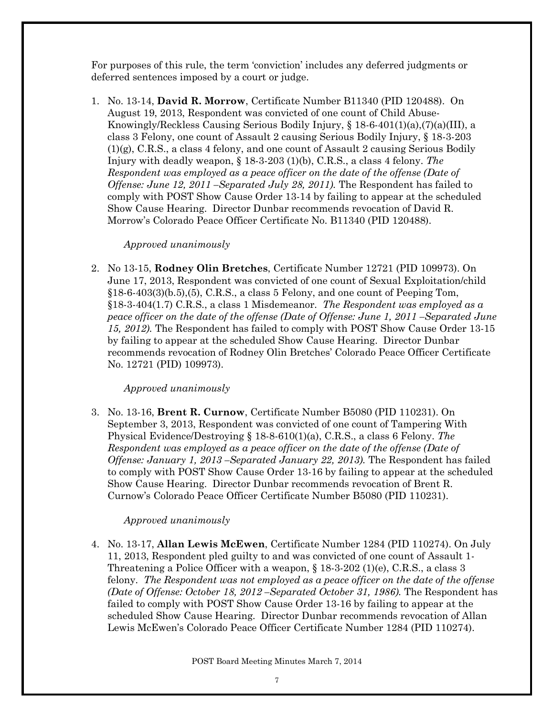For purposes of this rule, the term 'conviction' includes any deferred judgments or deferred sentences imposed by a court or judge.

1. No. 13-14, **David R. Morrow**, Certificate Number B11340 (PID 120488). On August 19, 2013, Respondent was convicted of one count of Child Abuse-Knowingly/Reckless Causing Serious Bodily Injury,  $\S 18-6-401(1)(a)$ ,  $(7)(a)(III)$ , a class 3 Felony, one count of Assault 2 causing Serious Bodily Injury, § 18-3-203 (1)(g), C.R.S., a class 4 felony, and one count of Assault 2 causing Serious Bodily Injury with deadly weapon, § 18-3-203 (1)(b), C.R.S., a class 4 felony. *The Respondent was employed as a peace officer on the date of the offense (Date of Offense: June 12, 2011 –Separated July 28, 2011).* The Respondent has failed to comply with POST Show Cause Order 13-14 by failing to appear at the scheduled Show Cause Hearing. Director Dunbar recommends revocation of David R. Morrow's Colorado Peace Officer Certificate No. B11340 (PID 120488).

## *Approved unanimously*

2. No 13-15, **Rodney Olin Bretches**, Certificate Number 12721 (PID 109973). On June 17, 2013, Respondent was convicted of one count of Sexual Exploitation/child §18-6-403(3)(b.5),(5), C.R.S., a class 5 Felony, and one count of Peeping Tom, §18-3-404(1.7) C.R.S., a class 1 Misdemeanor. *The Respondent was employed as a peace officer on the date of the offense (Date of Offense: June 1, 2011 – Separated June 15, 2012).* The Respondent has failed to comply with POST Show Cause Order 13-15 by failing to appear at the scheduled Show Cause Hearing. Director Dunbar recommends revocation of Rodney Olin Bretches' Colorado Peace Officer Certificate No. 12721 (PID) 109973).

## *Approved unanimously*

3. No. 13-16, **Brent R. Curnow**, Certificate Number B5080 (PID 110231). On September 3, 2013, Respondent was convicted of one count of Tampering With Physical Evidence/Destroying § 18-8-610(1)(a), C.R.S., a class 6 Felony. *The Respondent was employed as a peace officer on the date of the offense (Date of Offense: January 1, 2013 –Separated January 22, 2013).* The Respondent has failed to comply with POST Show Cause Order 13-16 by failing to appear at the scheduled Show Cause Hearing. Director Dunbar recommends revocation of Brent R. Curnow's Colorado Peace Officer Certificate Number B5080 (PID 110231).

## *Approved unanimously*

4. No. 13-17, **Allan Lewis McEwen**, Certificate Number 1284 (PID 110274). On July 11, 2013, Respondent pled guilty to and was convicted of one count of Assault 1- Threatening a Police Officer with a weapon,  $\S 18-3-202$  (1)(e), C.R.S., a class 3 felony. *The Respondent was not employed as a peace officer on the date of the offense (Date of Offense: October 18, 2012 –Separated October 31, 1986).* The Respondent has failed to comply with POST Show Cause Order 13-16 by failing to appear at the scheduled Show Cause Hearing. Director Dunbar recommends revocation of Allan Lewis McEwen's Colorado Peace Officer Certificate Number 1284 (PID 110274).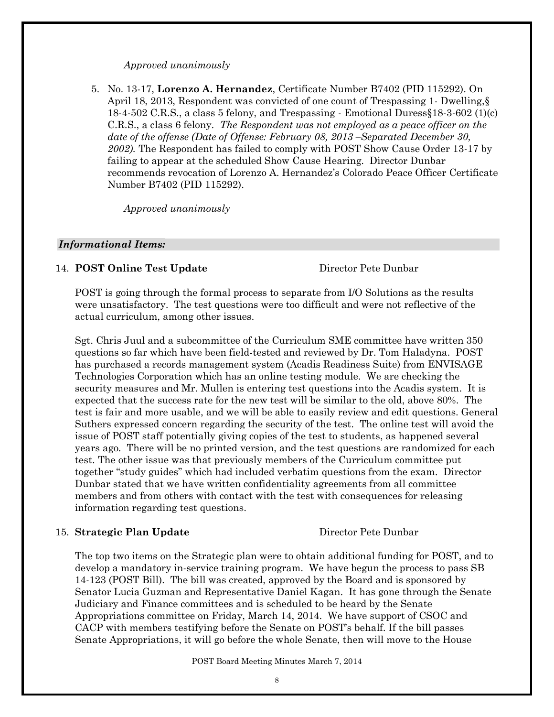### *Approved unanimously*

5. No. 13-17, **Lorenzo A. Hernandez**, Certificate Number B7402 (PID 115292). On April 18, 2013, Respondent was convicted of one count of Trespassing 1- Dwelling,§ 18-4-502 C.R.S., a class 5 felony, and Trespassing - Emotional Duress§18-3-602 (1)(c) C.R.S., a class 6 felony. *The Respondent was not employed as a peace officer on the date of the offense (Date of Offense: February 08, 2013 –Separated December 30, 2002).* The Respondent has failed to comply with POST Show Cause Order 13-17 by failing to appear at the scheduled Show Cause Hearing. Director Dunbar recommends revocation of Lorenzo A. Hernandez's Colorado Peace Officer Certificate Number B7402 (PID 115292).

*Approved unanimously*

### *Informational Items:*

## 14. **POST Online Test Update** Director Pete Dunbar

POST is going through the formal process to separate from I/O Solutions as the results were unsatisfactory. The test questions were too difficult and were not reflective of the actual curriculum, among other issues.

Sgt. Chris Juul and a subcommittee of the Curriculum SME committee have written 350 questions so far which have been field-tested and reviewed by Dr. Tom Haladyna. POST has purchased a records management system (Acadis Readiness Suite) from ENVISAGE Technologies Corporation which has an online testing module. We are checking the security measures and Mr. Mullen is entering test questions into the Acadis system. It is expected that the success rate for the new test will be similar to the old, above 80%. The test is fair and more usable, and we will be able to easily review and edit questions. General Suthers expressed concern regarding the security of the test. The online test will avoid the issue of POST staff potentially giving copies of the test to students, as happened several years ago. There will be no printed version, and the test questions are randomized for each test. The other issue was that previously members of the Curriculum committee put together "study guides" which had included verbatim questions from the exam. Director Dunbar stated that we have written confidentiality agreements from all committee members and from others with contact with the test with consequences for releasing information regarding test questions.

### 15. **Strategic Plan Update** Director Pete Dunbar

The top two items on the Strategic plan were to obtain additional funding for POST, and to develop a mandatory in-service training program. We have begun the process to pass SB 14-123 (POST Bill). The bill was created, approved by the Board and is sponsored by Senator Lucia Guzman and Representative Daniel Kagan. It has gone through the Senate Judiciary and Finance committees and is scheduled to be heard by the Senate Appropriations committee on Friday, March 14, 2014. We have support of CSOC and CACP with members testifying before the Senate on POST's behalf. If the bill passes Senate Appropriations, it will go before the whole Senate, then will move to the House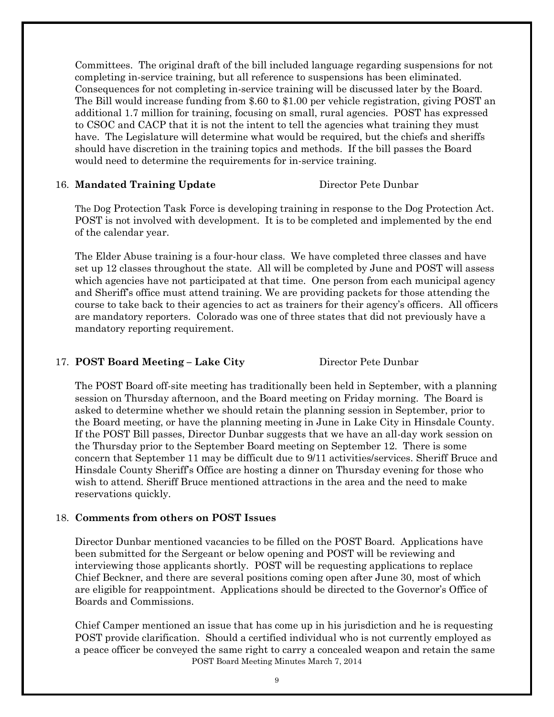Committees. The original draft of the bill included language regarding suspensions for not completing in-service training, but all reference to suspensions has been eliminated. Consequences for not completing in-service training will be discussed later by the Board. The Bill would increase funding from \$.60 to \$1.00 per vehicle registration, giving POST an additional 1.7 million for training, focusing on small, rural agencies. POST has expressed to CSOC and CACP that it is not the intent to tell the agencies what training they must have. The Legislature will determine what would be required, but the chiefs and sheriffs should have discretion in the training topics and methods. If the bill passes the Board would need to determine the requirements for in-service training.

### 16. **Mandated Training Update** Director Pete Dunbar

The Dog Protection Task Force is developing training in response to the Dog Protection Act. POST is not involved with development. It is to be completed and implemented by the end of the calendar year.

The Elder Abuse training is a four-hour class. We have completed three classes and have set up 12 classes throughout the state. All will be completed by June and POST will assess which agencies have not participated at that time. One person from each municipal agency and Sheriff's office must attend training. We are providing packets for those attending the course to take back to their agencies to act as trainers for their agency's officers. All officers are mandatory reporters. Colorado was one of three states that did not previously have a mandatory reporting requirement.

# 17. **POST Board Meeting – Lake City** Director Pete Dunbar

The POST Board off-site meeting has traditionally been held in September, with a planning session on Thursday afternoon, and the Board meeting on Friday morning. The Board is asked to determine whether we should retain the planning session in September, prior to the Board meeting, or have the planning meeting in June in Lake City in Hinsdale County. If the POST Bill passes, Director Dunbar suggests that we have an all-day work session on the Thursday prior to the September Board meeting on September 12. There is some concern that September 11 may be difficult due to 9/11 activities/services. Sheriff Bruce and Hinsdale County Sheriff's Office are hosting a dinner on Thursday evening for those who wish to attend. Sheriff Bruce mentioned attractions in the area and the need to make reservations quickly.

## 18. **Comments from others on POST Issues**

Director Dunbar mentioned vacancies to be filled on the POST Board. Applications have been submitted for the Sergeant or below opening and POST will be reviewing and interviewing those applicants shortly. POST will be requesting applications to replace Chief Beckner, and there are several positions coming open after June 30, most of which are eligible for reappointment. Applications should be directed to the Governor's Office of Boards and Commissions.

POST Board Meeting Minutes March 7, 2014 Chief Camper mentioned an issue that has come up in his jurisdiction and he is requesting POST provide clarification. Should a certified individual who is not currently employed as a peace officer be conveyed the same right to carry a concealed weapon and retain the same